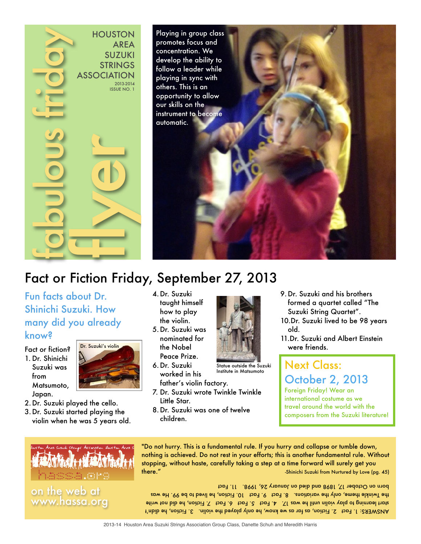

# Fact or Fiction Friday, September 27, 2013

# Fun facts about Dr. Shinichi Suzuki. How many did you already

#### know?

from

Fact or fiction? 1. Dr. Shinichi Suzuki was

Matsumoto,



- Japan. 2. Dr. Suzuki played the cello.
- 3. Dr. Suzuki started playing the violin when he was 5 years old.
- 4. Dr. Suzuki taught himself how to play the violin. 5. Dr. Suzuki was
- nominated for the Nobel Peace Prize.
- 6. Dr. Suzuki worked in his father's violin factory.
- 7. Dr. Suzuki wrote Twinkle Twinkle Little Star.
- 8. Dr. Suzuki was one of twelve children.



Statue outside the Suzuki<br>Institute in Matsumoto

were friends. **Next Class:** 

old.

9. Dr. Suzuki and his brothers formed a quartet called "The Suzuki String Quartet". 10.Dr. Suzuki lived to be 98 years

# October 2, 2013 Foreign Friday! Wear an international costume as we

11.Dr. Suzuki and Albert Einstein

travel around the world with the composers from the Suzuki literature!



on the web at

"Do not hurry. This is a fundamental rule. If you hurry and collapse or tumble down, nothing is achieved. Do not rest in your efforts; this is another fundamental rule. Without stopping, without haste, carefully taking a step at a time forward will surely get you there." -Shinichi Suzuki from Nurtured by Love (pg. 45)

ANSWERS: 1. Fact 2. Fiction, as far as we know, he only played the violin. 3. Fiction, he didn't stin ton bib ed (notibil 1 The 1 changed 1 changed 14. Fact  $5.$  Fact  $5.$  Faction, he did not write the Twinkle theme, only the variations. 8. Fact 3.0 Fact 10. Fiction, he lived to be 99. He was born on October 17, 1898 and died on January 26, 1998. 11. Fact